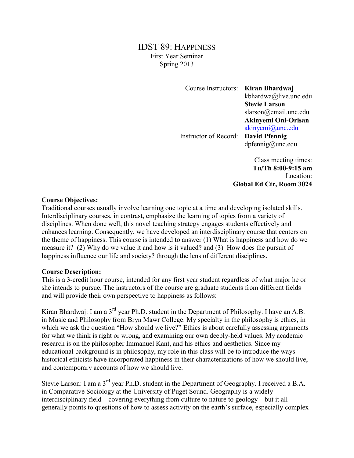# IDST 89: HAPPINESS First Year Seminar Spring 2013

Course Instructors: **Kiran Bhardwaj**

kbhardwa@live.unc.edu **Stevie Larson** slarson@email.unc.edu **Akinyemi Oni-Orisan** [akinyemi@unc.edu](mailto:akinyemi@unc.edu)

Instructor of Record: **David Pfennig**

dpfennig@unc.edu

Class meeting times: **Tu/Th 8:00-9:15 am** Location: **Global Ed Ctr, Room 3024**

#### **Course Objectives:**

Traditional courses usually involve learning one topic at a time and developing isolated skills. Interdisciplinary courses, in contrast, emphasize the learning of topics from a variety of disciplines. When done well, this novel teaching strategy engages students effectively and enhances learning. Consequently, we have developed an interdisciplinary course that centers on the theme of happiness. This course is intended to answer (1) What is happiness and how do we measure it? (2) Why do we value it and how is it valued? and (3) How does the pursuit of happiness influence our life and society? through the lens of different disciplines.

## **Course Description:**

This is a 3-credit hour course, intended for any first year student regardless of what major he or she intends to pursue. The instructors of the course are graduate students from different fields and will provide their own perspective to happiness as follows:

Kiran Bhardwaj: I am a 3<sup>rd</sup> year Ph.D. student in the Department of Philosophy. I have an A.B. in Music and Philosophy from Bryn Mawr College. My specialty in the philosophy is ethics, in which we ask the question "How should we live?" Ethics is about carefully assessing arguments for what we think is right or wrong, and examining our own deeply-held values. My academic research is on the philosopher Immanuel Kant, and his ethics and aesthetics. Since my educational background is in philosophy, my role in this class will be to introduce the ways historical ethicists have incorporated happiness in their characterizations of how we should live, and contemporary accounts of how we should live.

Stevie Larson: I am a 3<sup>rd</sup> year Ph.D. student in the Department of Geography. I received a B.A. in Comparative Sociology at the University of Puget Sound. Geography is a widely interdisciplinary field – covering everything from culture to nature to geology – but it all generally points to questions of how to assess activity on the earth's surface, especially complex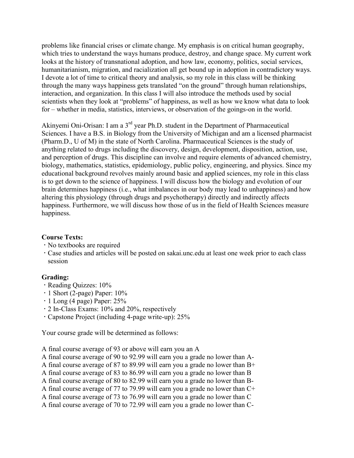problems like financial crises or climate change. My emphasis is on critical human geography, which tries to understand the ways humans produce, destroy, and change space. My current work looks at the history of transnational adoption, and how law, economy, politics, social services, humanitarianism, migration, and racialization all get bound up in adoption in contradictory ways. I devote a lot of time to critical theory and analysis, so my role in this class will be thinking through the many ways happiness gets translated "on the ground" through human relationships, interaction, and organization. In this class I will also introduce the methods used by social scientists when they look at "problems" of happiness, as well as how we know what data to look for – whether in media, statistics, interviews, or observation of the goings-on in the world.

Akinyemi Oni-Orisan: I am a  $3<sup>rd</sup>$  year Ph.D. student in the Department of Pharmaceutical Sciences. I have a B.S. in Biology from the University of Michigan and am a licensed pharmacist (Pharm.D., U of M) in the state of North Carolina. Pharmaceutical Sciences is the study of anything related to drugs including the discovery, design, development, disposition, action, use, and perception of drugs. This discipline can involve and require elements of advanced chemistry, biology, mathematics, statistics, epidemiology, public policy, engineering, and physics. Since my educational background revolves mainly around basic and applied sciences, my role in this class is to get down to the science of happiness. I will discuss how the biology and evolution of our brain determines happiness (i.e., what imbalances in our body may lead to unhappiness) and how altering this physiology (through drugs and psychotherapy) directly and indirectly affects happiness. Furthermore, we will discuss how those of us in the field of Health Sciences measure happiness.

# **Course Texts:**

- No textbooks are required
- Case studies and articles will be posted on sakai.unc.edu at least one week prior to each class session

## **Grading:**

- Reading Quizzes: 10%
- $\cdot$  1 Short (2-page) Paper: 10%
- $\cdot$  1 Long (4 page) Paper: 25%
- 2 In-Class Exams: 10% and 20%, respectively
- Capstone Project (including 4-page write-up): 25%

Your course grade will be determined as follows:

A final course average of 93 or above will earn you an A

- A final course average of 90 to 92.99 will earn you a grade no lower than A-
- A final course average of 87 to 89.99 will earn you a grade no lower than B+
- A final course average of 83 to 86.99 will earn you a grade no lower than B
- A final course average of 80 to 82.99 will earn you a grade no lower than B-
- A final course average of 77 to 79.99 will earn you a grade no lower than C+
- A final course average of 73 to 76.99 will earn you a grade no lower than C
- A final course average of 70 to 72.99 will earn you a grade no lower than C-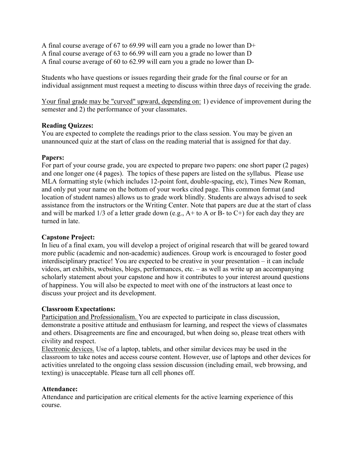A final course average of 67 to 69.99 will earn you a grade no lower than D+

A final course average of 63 to 66.99 will earn you a grade no lower than D

A final course average of 60 to 62.99 will earn you a grade no lower than D-

Students who have questions or issues regarding their grade for the final course or for an individual assignment must request a meeting to discuss within three days of receiving the grade.

Your final grade may be "curved" upward, depending on: 1) evidence of improvement during the semester and 2) the performance of your classmates.

#### **Reading Quizzes:**

You are expected to complete the readings prior to the class session. You may be given an unannounced quiz at the start of class on the reading material that is assigned for that day.

#### **Papers:**

For part of your course grade, you are expected to prepare two papers: one short paper (2 pages) and one longer one (4 pages). The topics of these papers are listed on the syllabus. Please use MLA formatting style (which includes 12-point font, double-spacing, etc), Times New Roman, and only put your name on the bottom of your works cited page. This common format (and location of student names) allows us to grade work blindly. Students are always advised to seek assistance from the instructors or the Writing Center. Note that papers are due at the start of class and will be marked  $1/3$  of a letter grade down (e.g.,  $A$ + to A or B- to C+) for each day they are turned in late.

## **Capstone Project:**

In lieu of a final exam, you will develop a project of original research that will be geared toward more public (academic and non-academic) audiences. Group work is encouraged to foster good interdisciplinary practice! You are expected to be creative in your presentation – it can include videos, art exhibits, websites, blogs, performances, etc. – as well as write up an accompanying scholarly statement about your capstone and how it contributes to your interest around questions of happiness. You will also be expected to meet with one of the instructors at least once to discuss your project and its development.

## **Classroom Expectations:**

Participation and Professionalism. You are expected to participate in class discussion, demonstrate a positive attitude and enthusiasm for learning, and respect the views of classmates and others. Disagreements are fine and encouraged, but when doing so, please treat others with civility and respect.

Electronic devices. Use of a laptop, tablets, and other similar devices may be used in the classroom to take notes and access course content. However, use of laptops and other devices for activities unrelated to the ongoing class session discussion (including email, web browsing, and texting) is unacceptable. Please turn all cell phones off.

#### **Attendance:**

Attendance and participation are critical elements for the active learning experience of this course.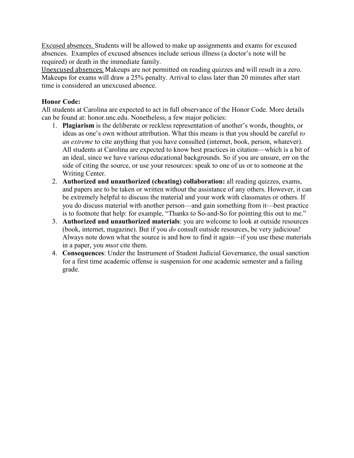Excused absences. Students will be allowed to make up assignments and exams for excused absences. Examples of excused absences include serious illness (a doctor's note will be required) or death in the immediate family.

Unexcused absences. Makeups are not permitted on reading quizzes and will result in a zero. Makeups for exams will draw a 25% penalty. Arrival to class later than 20 minutes after start time is considered an unexcused absence.

## **Honor Code:**

All students at Carolina are expected to act in full observance of the Honor Code. More details can be found at: honor.unc.edu. Nonetheless, a few major policies:

- 1. **Plagiarism** is the deliberate or reckless representation of another's words, thoughts, or ideas as one's own without attribution. What this means is that you should be careful *to an extreme* to cite anything that you have consulted (internet, book, person, whatever). All students at Carolina are expected to know best practices in citation—which is a bit of an ideal, since we have various educational backgrounds. So if you are unsure, err on the side of citing the source, or use your resources: speak to one of us or to someone at the Writing Center.
- 2. **Authorized and unauthorized (cheating) collaboration:** all reading quizzes, exams, and papers are to be taken or written without the assistance of any others. However, it can be extremely helpful to discuss the material and your work with classmates or others. If you do discuss material with another person—and gain something from it—best practice is to footnote that help: for example, "Thanks to So-and-So for pointing this out to me."
- 3. **Authorized and unauthorized materials**: you are welcome to look at outside resources (book, internet, magazine). But if you *do* consult outside resources, be very judicious! Always note down what the source is and how to find it again—if you use these materials in a paper, you *must* cite them.
- 4. **Consequences**: Under the Instrument of Student Judicial Governance, the usual sanction for a first time academic offense is suspension for one academic semester and a failing grade.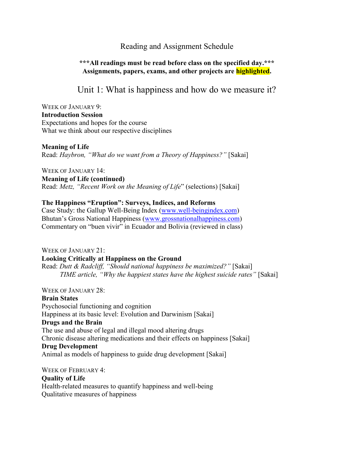# Reading and Assignment Schedule

## **\*\*\*All readings must be read before class on the specified day.\*\*\* Assignments, papers, exams, and other projects are highlighted.**

Unit 1: What is happiness and how do we measure it?

WEEK OF JANUARY 9: **Introduction Session** Expectations and hopes for the course What we think about our respective disciplines

#### **Meaning of Life**

Read: *Haybron, "What do we want from a Theory of Happiness?"* [Sakai]

WEEK OF JANUARY 14: **Meaning of Life (continued)** Read: *Metz, "Recent Work on the Meaning of Life*" (selections) [Sakai]

#### **The Happiness "Eruption": Surveys, Indices, and Reforms**

Case Study: the Gallup Well-Being Index [\(www.well-beingindex.com\)](http://www.well-beingindex.com/) Bhutan's Gross National Happiness ([www.grossnationalhappiness.com\)](http://www.grossnationalhappiness.com/) Commentary on "buen vivir" in Ecuador and Bolivia (reviewed in class)

WEEK OF JANUARY 21: **Looking Critically at Happiness on the Ground** Read: *Dutt & Radcliff, "Should national happiness be maximized?"* [Sakai] *TIME article, "Why the happiest states have the highest suicide rates"* [Sakai]

WEEK OF JANUARY 28: **Brain States** Psychosocial functioning and cognition Happiness at its basic level: Evolution and Darwinism [Sakai] **Drugs and the Brain** The use and abuse of legal and illegal mood altering drugs Chronic disease altering medications and their effects on happiness [Sakai] **Drug Development** Animal as models of happiness to guide drug development [Sakai]

WEEK OF FEBRUARY 4: **Quality of Life**  Health-related measures to quantify happiness and well-being Qualitative measures of happiness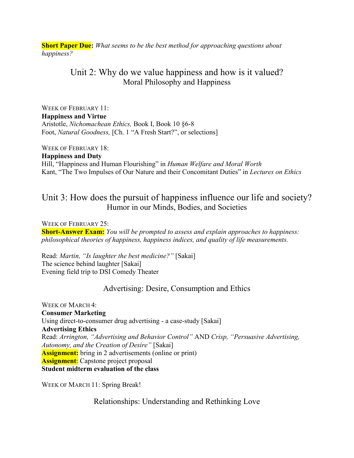**Short Paper Due:** *What seems to be the best method for approaching questions about happiness?*

# Unit 2: Why do we value happiness and how is it valued? Moral Philosophy and Happiness

WEEK OF FEBRUARY 11: **Happiness and Virtue** Aristotle, *Nichomachean Ethics,* Book I, Book 10 §6-8 Foot, *Natural Goodness,* [Ch. 1 "A Fresh Start?", or selections]

WEEK OF FEBRUARY 18:

**Happiness and Duty** Hill, "Happiness and Human Flourishing" in *Human Welfare and Moral Worth* Kant, "The Two Impulses of Our Nature and their Concomitant Duties" in *Lectures on Ethics*

# Unit 3: How does the pursuit of happiness influence our life and society? Humor in our Minds, Bodies, and Societies

WEEK OF FEBRUARY 25: **Short-Answer Exam:** *You will be prompted to assess and explain approaches to happiness: philosophical theories of happiness, happiness indices, and quality of life measurements.*

Read: *Martin, "Is laughter the best medicine?"* [Sakai] The science behind laughter [Sakai] Evening field trip to DSI Comedy Theater

# Advertising: Desire, Consumption and Ethics

WEEK OF MARCH 4: **Consumer Marketing** Using direct-to-consumer drug advertising - a case-study [Sakai] **Advertising Ethics** Read: *Arrington, "Advertising and Behavior Control"* AND *Crisp, "Persuasive Advertising, Autonomy, and the Creation of Desire"* [Sakai] **Assignment:** bring in 2 advertisements (online or print) **Assignment**: Capstone project proposal **Student midterm evaluation of the class**

WEEK OF MARCH 11: Spring Break!

Relationships: Understanding and Rethinking Love